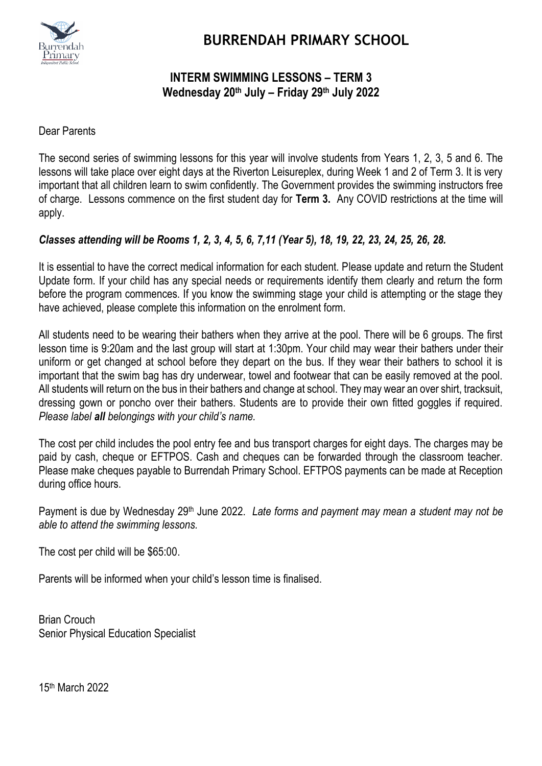

## **BURRENDAH PRIMARY SCHOOL**

## **INTERM SWIMMING LESSONS – TERM 3 Wednesday 20th July – Friday 29th July 2022**

Dear Parents

The second series of swimming lessons for this year will involve students from Years 1, 2, 3, 5 and 6. The lessons will take place over eight days at the Riverton Leisureplex, during Week 1 and 2 of Term 3. It is very important that all children learn to swim confidently. The Government provides the swimming instructors free of charge. Lessons commence on the first student day for **Term 3.** Any COVID restrictions at the time will apply.

## *Classes attending will be Rooms 1, 2, 3, 4, 5, 6, 7,11 (Year 5), 18, 19, 22, 23, 24, 25, 26, 28.*

It is essential to have the correct medical information for each student. Please update and return the Student Update form. If your child has any special needs or requirements identify them clearly and return the form before the program commences. If you know the swimming stage your child is attempting or the stage they have achieved, please complete this information on the enrolment form.

All students need to be wearing their bathers when they arrive at the pool. There will be 6 groups. The first lesson time is 9:20am and the last group will start at 1:30pm. Your child may wear their bathers under their uniform or get changed at school before they depart on the bus. If they wear their bathers to school it is important that the swim bag has dry underwear, towel and footwear that can be easily removed at the pool. All students will return on the bus in their bathers and change at school. They may wear an over shirt, tracksuit, dressing gown or poncho over their bathers. Students are to provide their own fitted goggles if required. *Please label all belongings with your child's name.*

The cost per child includes the pool entry fee and bus transport charges for eight days. The charges may be paid by cash, cheque or EFTPOS. Cash and cheques can be forwarded through the classroom teacher. Please make cheques payable to Burrendah Primary School. EFTPOS payments can be made at Reception during office hours.

Payment is due by Wednesday 29th June 2022. *Late forms and payment may mean a student may not be able to attend the swimming lessons.*

The cost per child will be \$65:00.

Parents will be informed when your child's lesson time is finalised.

Brian Crouch Senior Physical Education Specialist

15th March 2022